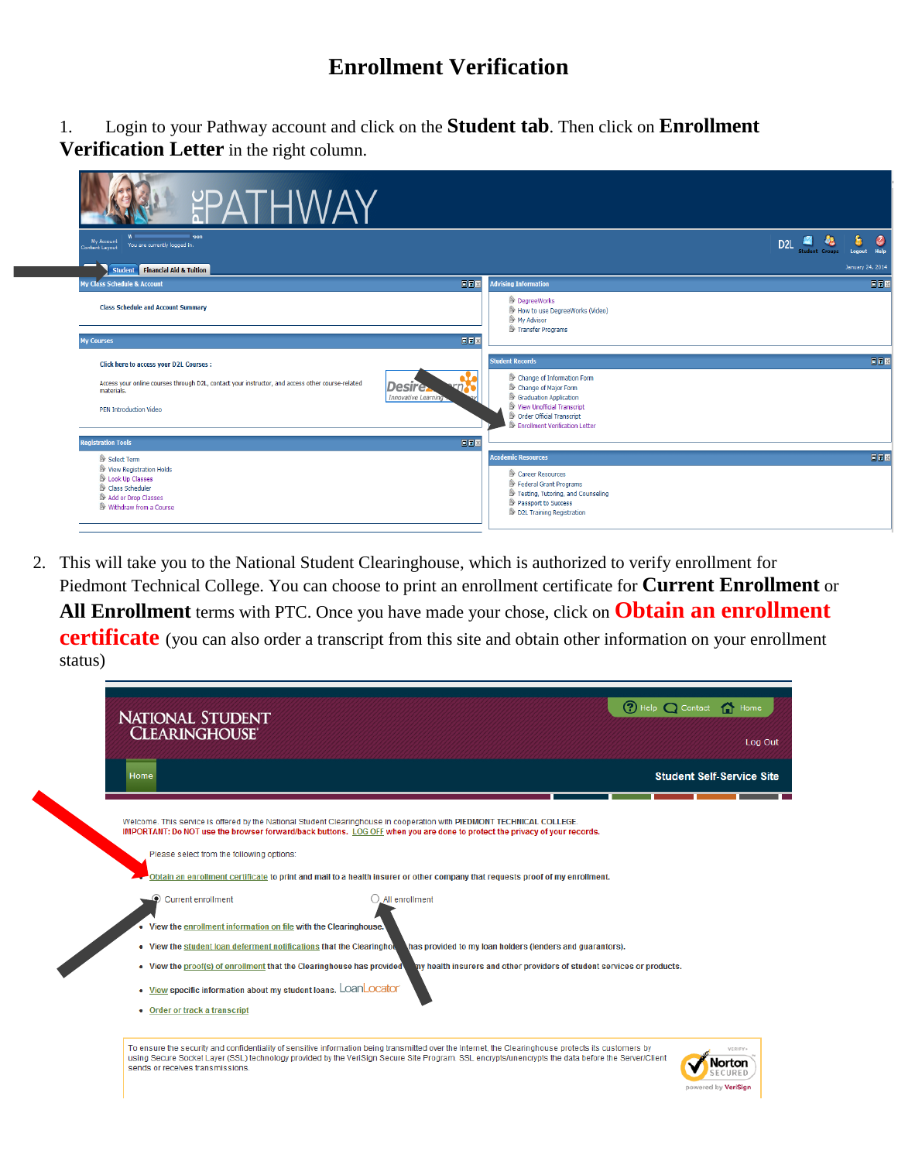## **Enrollment Verification**

1. Login to your Pathway account and click on the **Student tab**. Then click on **Enrollment Verification Letter** in the right column.

| <b>EPATHWAY</b>                                                                                                                                                                                                                                                       |                                                                                                                                                                                                                             |
|-----------------------------------------------------------------------------------------------------------------------------------------------------------------------------------------------------------------------------------------------------------------------|-----------------------------------------------------------------------------------------------------------------------------------------------------------------------------------------------------------------------------|
| roon<br>My Account<br>You are currently logged in.<br><b>Content Layout</b>                                                                                                                                                                                           | D <sub>2L</sub><br><b>Student Groups</b><br>Help<br>Logout                                                                                                                                                                  |
| <b>Student Financial Aid &amp; Tuition</b>                                                                                                                                                                                                                            | January 24, 2014                                                                                                                                                                                                            |
| 同同図<br><b>My Class Schedule &amp; Account</b>                                                                                                                                                                                                                         | <b>Advising Information</b><br>日日図                                                                                                                                                                                          |
| <b>Class Schedule and Account Summary</b>                                                                                                                                                                                                                             | DegreeWorks<br>How to use DegreeWorks (Video)<br>My Advisor<br>Transfer Programs                                                                                                                                            |
| 回国<br><b>My Courses</b>                                                                                                                                                                                                                                               |                                                                                                                                                                                                                             |
| <b>Click here to access your D2L Courses:</b><br>Access your online courses through D2L, contact your instructor, and access other course-related<br><b>Desire</b><br>materials.<br>Innovative Learning<br>PEN Introduction Video<br>回回区<br><b>Registration Tools</b> | 回回回<br><b>Student Records</b><br>Change of Information Form<br>Change of Major Form<br>Graduation Application<br>View Unofficial Transcript<br>Order Official Transcript<br><b>Executive Enrollment Verification Letter</b> |
| Select Term<br>View Registration Holds<br>Look Up Classes<br>Class Scheduler<br>Add or Drop Classes<br>Withdraw from a Course                                                                                                                                         | <b>Academic Resources</b><br>回回图<br>Career Resources<br>Federal Grant Programs<br>Testing, Tutoring, and Counseling<br>Passport to Success<br>D2L Training Registration                                                     |

2. This will take you to the National Student Clearinghouse, which is authorized to verify enrollment for Piedmont Technical College. You can choose to print an enrollment certificate for **Current Enrollment** or **All Enrollment** terms with PTC. Once you have made your chose, click on **Obtain an enrollment certificate** (you can also order a transcript from this site and obtain other information on your enrollment status)